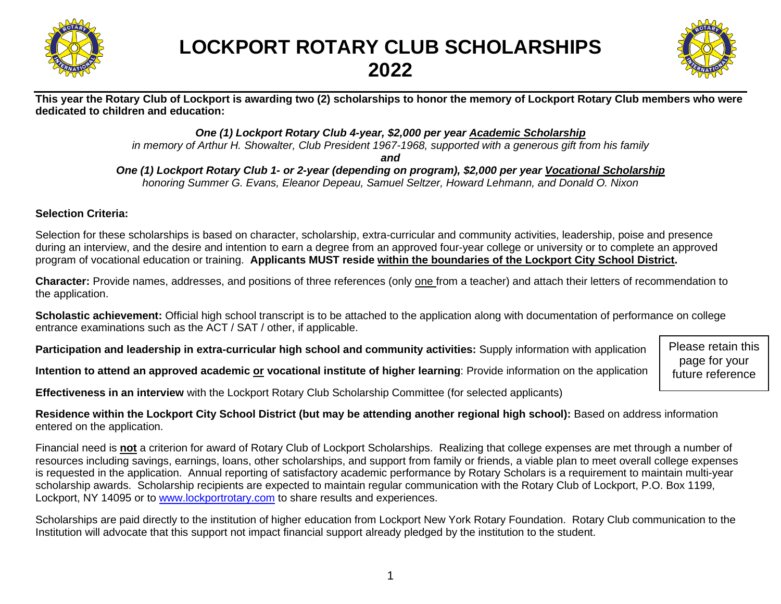

## **LOCKPORT ROTARY CLUB SCHOLARSHIPS 2022**



**This year the Rotary Club of Lockport is awarding two (2) scholarships to honor the memory of Lockport Rotary Club members who were dedicated to children and education:**

*One (1) Lockport Rotary Club 4-year, \$2,000 per year Academic Scholarship*

*in memory of Arthur H. Showalter, Club President 1967-1968, supported with a generous gift from his family*

*and*

*One (1) Lockport Rotary Club 1- or 2-year (depending on program), \$2,000 per year Vocational Scholarship honoring Summer G. Evans, Eleanor Depeau, Samuel Seltzer, Howard Lehmann, and Donald O. Nixon*

### **Selection Criteria:**

Selection for these scholarships is based on character, scholarship, extra-curricular and community activities, leadership, poise and presence during an interview, and the desire and intention to earn a degree from an approved four-year college or university or to complete an approved program of vocational education or training. **Applicants MUST reside within the boundaries of the Lockport City School District.**

**Character:** Provide names, addresses, and positions of three references (only one from a teacher) and attach their letters of recommendation to the application.

**Scholastic achievement:** Official high school transcript is to be attached to the application along with documentation of performance on college entrance examinations such as the ACT / SAT / other, if applicable.

**Participation and leadership in extra-curricular high school and community activities:** Supply information with application

**Intention to attend an approved academic or vocational institute of higher learning**: Provide information on the application

**Effectiveness in an interview** with the Lockport Rotary Club Scholarship Committee (for selected applicants)

**Residence within the Lockport City School District (but may be attending another regional high school):** Based on address information entered on the application.

Financial need is **not** a criterion for award of Rotary Club of Lockport Scholarships. Realizing that college expenses are met through a number of resources including savings, earnings, loans, other scholarships, and support from family or friends, a viable plan to meet overall college expenses is requested in the application. Annual reporting of satisfactory academic performance by Rotary Scholars is a requirement to maintain multi-year scholarship awards. Scholarship recipients are expected to maintain regular communication with the Rotary Club of Lockport, P.O. Box 1199, Lockport, NY 14095 or to [www.lockportrotary.com](http://www.lockportrotary.com/) to share results and experiences.

Scholarships are paid directly to the institution of higher education from Lockport New York Rotary Foundation. Rotary Club communication to the Institution will advocate that this support not impact financial support already pledged by the institution to the student.

Please retain this page for your future reference